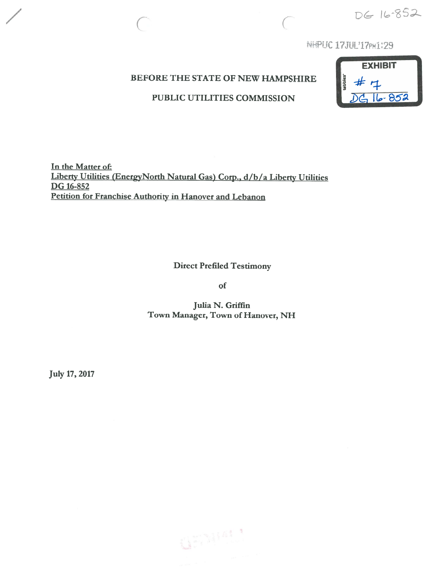DG 16-852

NHPUC 17JUL'17PM1:29

### BEFORE THE STATE OF NEW HAMPSHIRE

### PUBLIC UTILITIES COMMISSION



<u>In the Matter of</u> Liberty Utilities (EnergyNorth Natural Gas) Corp., d/b/a Liberty Utilities DG 16-852 Petition for Franchise Authority in Hanover and Lebanon

 $\big($ 

Direct Prefiled Testimony

of

Julia N. Griffin Town Manager, Town of Hanover, NH

July 17, 2017

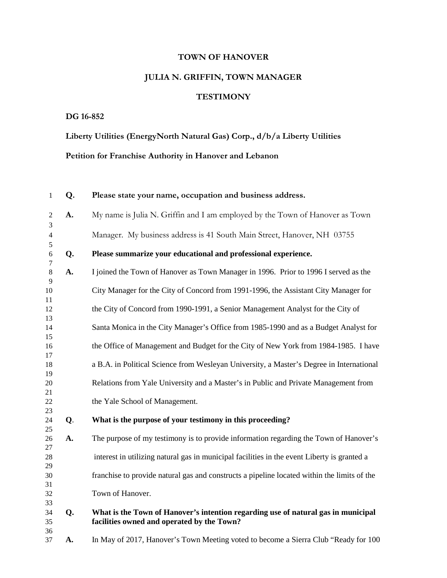## **TOWN OF HANOVER**

# **JULIA N. GRIFFIN, TOWN MANAGER**

## **TESTIMONY**

#### **DG 16-852**

**Liberty Utilities (EnergyNorth Natural Gas) Corp., d/b/a Liberty Utilities Petition for Franchise Authority in Hanover and Lebanon**

| $\mathbf{1}$        | Q. | Please state your name, occupation and business address.                                                                        |
|---------------------|----|---------------------------------------------------------------------------------------------------------------------------------|
| $\overline{2}$<br>3 | A. | My name is Julia N. Griffin and I am employed by the Town of Hanover as Town                                                    |
| $\overline{4}$<br>5 |    | Manager. My business address is 41 South Main Street, Hanover, NH 03755                                                         |
| 6<br>7              | Q. | Please summarize your educational and professional experience.                                                                  |
| $\,8\,$<br>9        | A. | I joined the Town of Hanover as Town Manager in 1996. Prior to 1996 I served as the                                             |
| 10<br>11            |    | City Manager for the City of Concord from 1991-1996, the Assistant City Manager for                                             |
| 12<br>13            |    | the City of Concord from 1990-1991, a Senior Management Analyst for the City of                                                 |
| 14<br>15            |    | Santa Monica in the City Manager's Office from 1985-1990 and as a Budget Analyst for                                            |
| 16<br>17            |    | the Office of Management and Budget for the City of New York from 1984-1985. I have                                             |
| 18<br>19            |    | a B.A. in Political Science from Wesleyan University, a Master's Degree in International                                        |
| 20<br>21            |    | Relations from Yale University and a Master's in Public and Private Management from                                             |
| 22<br>23            |    | the Yale School of Management.                                                                                                  |
| 24<br>25            | Q. | What is the purpose of your testimony in this proceeding?                                                                       |
| 26<br>27            | A. | The purpose of my testimony is to provide information regarding the Town of Hanover's                                           |
| 28<br>29            |    | interest in utilizing natural gas in municipal facilities in the event Liberty is granted a                                     |
| 30<br>31            |    | franchise to provide natural gas and constructs a pipeline located within the limits of the                                     |
| 32<br>33            |    | Town of Hanover.                                                                                                                |
| 34<br>35            | Q. | What is the Town of Hanover's intention regarding use of natural gas in municipal<br>facilities owned and operated by the Town? |
| 36<br>37            | A. | In May of 2017, Hanover's Town Meeting voted to become a Sierra Club "Ready for 100                                             |